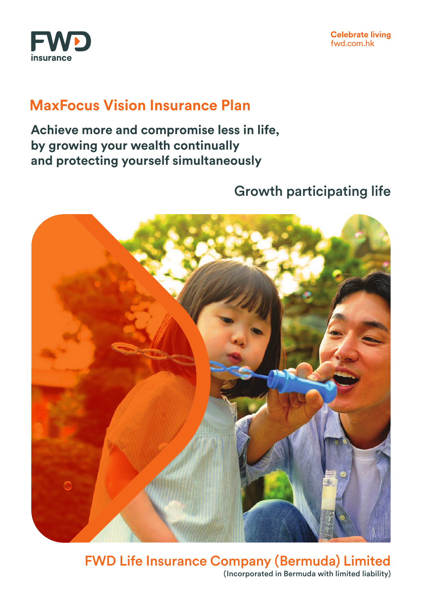

## **MaxFocus Vision Insurance Plan**

**Achieve more and compromise less in life, by growing your wealth continually and protecting yourself simultaneously**

## Growth participating life



FWD Life Insurance Company (Bermuda) Limited (Incorporated in Bermuda with limited liability)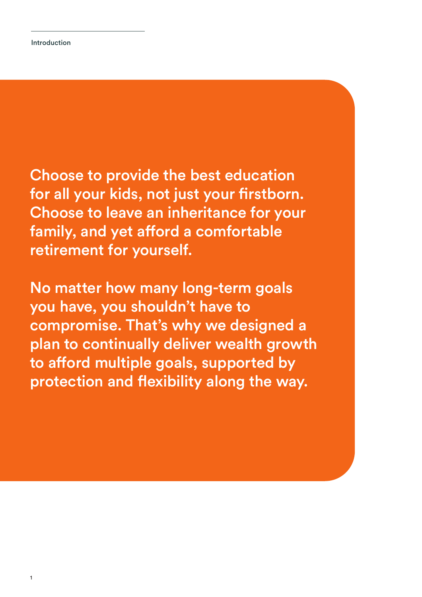Choose to provide the best education for all your kids, not just your firstborn. Choose to leave an inheritance for your family, and yet afford a comfortable retirement for yourself.

No matter how many long-term goals you have, you shouldn't have to compromise. That's why we designed a plan to continually deliver wealth growth to afford multiple goals, supported by protection and flexibility along the way.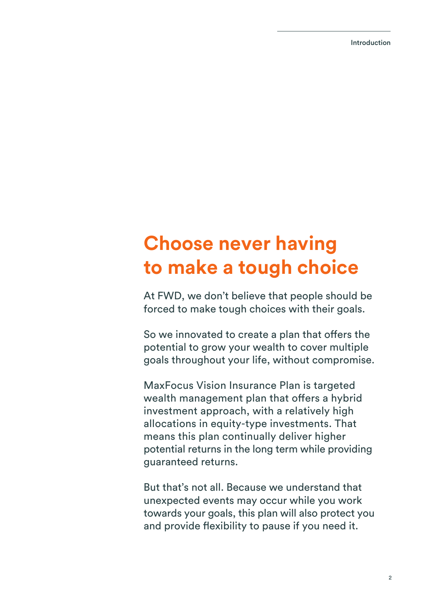Introduction

# **Choose never having to make a tough choice**

At FWD, we don't believe that people should be forced to make tough choices with their goals.

So we innovated to create a plan that offers the potential to grow your wealth to cover multiple goals throughout your life, without compromise.

MaxFocus Vision Insurance Plan is targeted wealth management plan that offers a hybrid investment approach, with a relatively high allocations in equity-type investments. That means this plan continually deliver higher potential returns in the long term while providing guaranteed returns.

But that's not all. Because we understand that unexpected events may occur while you work towards your goals, this plan will also protect you and provide flexibility to pause if you need it.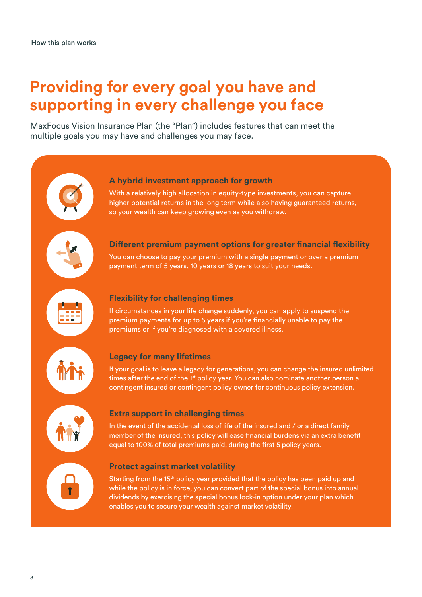## **Providing for every goal you have and supporting in every challenge you face**

MaxFocus Vision Insurance Plan (the "Plan") includes features that can meet the multiple goals you may have and challenges you may face.

## **A hybrid investment approach for growth**

With a relatively high allocation in equity-type investments, you can capture higher potential returns in the long term while also having guaranteed returns, so your wealth can keep growing even as you withdraw.



## **Different premium payment options for greater financial flexibility**

You can choose to pay your premium with a single payment or over a premium payment term of 5 years, 10 years or 18 years to suit your needs.



## **Flexibility for challenging times**

If circumstances in your life change suddenly, you can apply to suspend the premium payments for up to 5 years if you're financially unable to pay the premiums or if you're diagnosed with a covered illness.



## **Legacy for many lifetimes**

If your goal is to leave a legacy for generations, you can change the insured unlimited times after the end of the 1<sup>st</sup> policy year. You can also nominate another person a contingent insured or contingent policy owner for continuous policy extension.



## **Extra support in challenging times**

In the event of the accidental loss of life of the insured and / or a direct family member of the insured, this policy will ease financial burdens via an extra benefit equal to 100% of total premiums paid, during the first 5 policy years.

## **Protect against market volatility**

Starting from the 15<sup>th</sup> policy year provided that the policy has been paid up and while the policy is in force, you can convert part of the special bonus into annual dividends by exercising the special bonus lock-in option under your plan which enables you to secure your wealth against market volatility.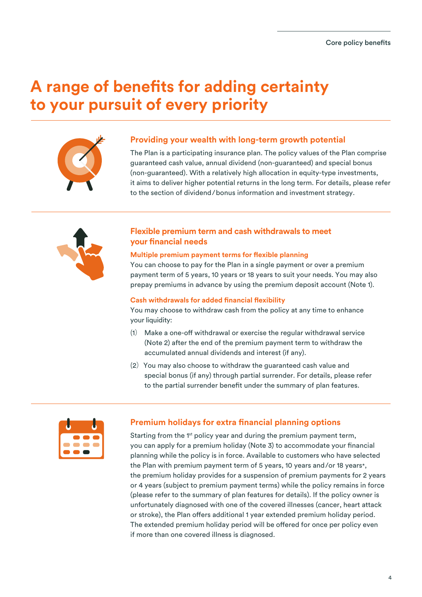## **A range of benefits for adding certainty to your pursuit of every priority**



#### **Providing your wealth with long-term growth potential**

The Plan is a participating insurance plan. The policy values of the Plan comprise guaranteed cash value, annual dividend (non-guaranteed) and special bonus (non-guaranteed). With a relatively high allocation in equity-type investments, it aims to deliver higher potential returns in the long term. For details, please refer to the section of dividend/bonus information and investment strategy.



## **Flexible premium term and cash withdrawals to meet your financial needs**

#### **Multiple premium payment terms for flexible planning**

You can choose to pay for the Plan in a single payment or over a premium payment term of 5 years, 10 years or 18 years to suit your needs. You may also prepay premiums in advance by using the premium deposit account (Note 1).

#### **Cash withdrawals for added financial flexibility**

You may choose to withdraw cash from the policy at any time to enhance your liquidity:

- $(1)$  Make a one-off withdrawal or exercise the regular withdrawal service (Note 2) after the end of the premium payment term to withdraw the accumulated annual dividends and interest (if any).
- (2) You may also choose to withdraw the guaranteed cash value and special bonus (if any) through partial surrender. For details, please refer to the partial surrender benefit under the summary of plan features.



## **Premium holidays for extra financial planning options**

Starting from the 1<sup>st</sup> policy year and during the premium payment term, you can apply for a premium holiday (Note 3) to accommodate your financial planning while the policy is in force. Available to customers who have selected the Plan with premium payment term of 5 years, 10 years and/or 18 years\*, the premium holiday provides for a suspension of premium payments for 2 years or 4 years (subject to premium payment terms) while the policy remains in force (please refer to the summary of plan features for details). If the policy owner is unfortunately diagnosed with one of the covered illnesses (cancer, heart attack or stroke), the Plan offers additional 1 year extended premium holiday period. The extended premium holiday period will be offered for once per policy even if more than one covered illness is diagnosed.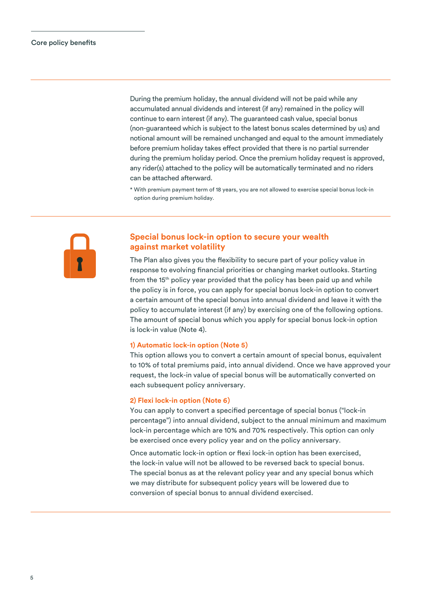During the premium holiday, the annual dividend will not be paid while any accumulated annual dividends and interest (if any) remained in the policy will continue to earn interest (if any). The guaranteed cash value, special bonus (non-guaranteed which is subject to the latest bonus scales determined by us) and notional amount will be remained unchanged and equal to the amount immediately before premium holiday takes effect provided that there is no partial surrender during the premium holiday period. Once the premium holiday request is approved, any rider(s) attached to the policy will be automatically terminated and no riders can be attached afterward.

\* With premium payment term of 18 years, you are not allowed to exercise special bonus lock-in option during premium holiday.



## **Special bonus lock-in option to secure your wealth against market volatility**

The Plan also gives you the flexibility to secure part of your policy value in response to evolving financial priorities or changing market outlooks. Starting from the 15th policy year provided that the policy has been paid up and while the policy is in force, you can apply for special bonus lock-in option to convert a certain amount of the special bonus into annual dividend and leave it with the policy to accumulate interest (if any) by exercising one of the following options. The amount of special bonus which you apply for special bonus lock-in option is lock-in value (Note 4).

#### **1) Automatic lock-in option (Note 5)**

This option allows you to convert a certain amount of special bonus, equivalent to 10% of total premiums paid, into annual dividend. Once we have approved your request, the lock-in value of special bonus will be automatically converted on each subsequent policy anniversary.

#### **2) Flexi lock-in option (Note 6)**

You can apply to convert a specified percentage of special bonus ("lock-in percentage") into annual dividend, subject to the annual minimum and maximum lock-in percentage which are 10% and 70% respectively. This option can only be exercised once every policy year and on the policy anniversary.

Once automatic lock-in option or flexi lock-in option has been exercised, the lock-in value will not be allowed to be reversed back to special bonus. The special bonus as at the relevant policy year and any special bonus which we may distribute for subsequent policy years will be lowered due to conversion of special bonus to annual dividend exercised.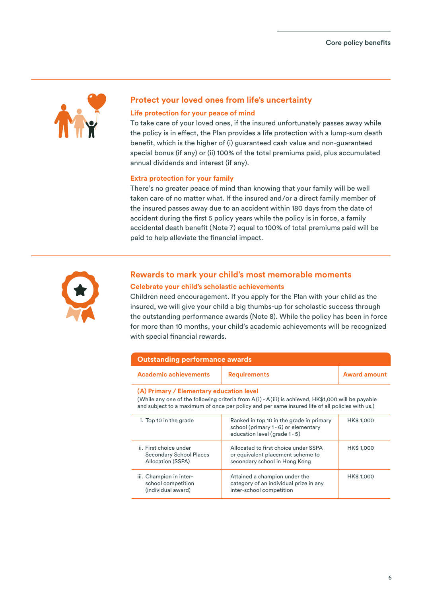

## **Protect your loved ones from life's uncertainty**

#### **Life protection for your peace of mind**

To take care of your loved ones, if the insured unfortunately passes away while the policy is in effect, the Plan provides a life protection with a lump-sum death benefit, which is the higher of (i) guaranteed cash value and non-guaranteed special bonus (if any) or (ii) 100% of the total premiums paid, plus accumulated annual dividends and interest (if any).

#### **Extra protection for your family**

There's no greater peace of mind than knowing that your family will be well taken care of no matter what. If the insured and/or a direct family member of the insured passes away due to an accident within 180 days from the date of accident during the first 5 policy years while the policy is in force, a family accidental death benefit (Note 7) equal to 100% of total premiums paid will be paid to help alleviate the financial impact.



## **Rewards to mark your child's most memorable moments Celebrate your child's scholastic achievements**

Children need encouragement. If you apply for the Plan with your child as the insured, we will give your child a big thumbs-up for scholastic success through the outstanding performance awards (Note 8). While the policy has been in force for more than 10 months, your child's academic achievements will be recognized with special financial rewards.

| <b>Outstanding performance awards</b>                                                                                                                                                                                                             |                                                                                                                             |                     |  |
|---------------------------------------------------------------------------------------------------------------------------------------------------------------------------------------------------------------------------------------------------|-----------------------------------------------------------------------------------------------------------------------------|---------------------|--|
| <b>Academic achievements</b>                                                                                                                                                                                                                      | <b>Requirements</b>                                                                                                         | <b>Award amount</b> |  |
| (A) Primary / Elementary education level<br>(While any one of the following criteria from A(i) - A(iii) is achieved, HK\$1,000 will be payable<br>and subject to a maximum of once per policy and per same insured life of all policies with us.) |                                                                                                                             |                     |  |
| i. Top 10 in the grade                                                                                                                                                                                                                            | HK\$ 1,000<br>Ranked in top 10 in the grade in primary<br>school (primary 1-6) or elementary<br>education level (grade 1-5) |                     |  |
| ii. First choice under<br><b>Secondary School Places</b><br>Allocation (SSPA)                                                                                                                                                                     | Allocated to first choice under SSPA<br>HK\$ 1,000<br>or equivalent placement scheme to<br>secondary school in Hong Kong    |                     |  |
| iii. Champion in inter-<br>school competition<br>(individual award)                                                                                                                                                                               | Attained a champion under the<br>category of an individual prize in any<br>inter-school competition                         | HK\$ 1,000          |  |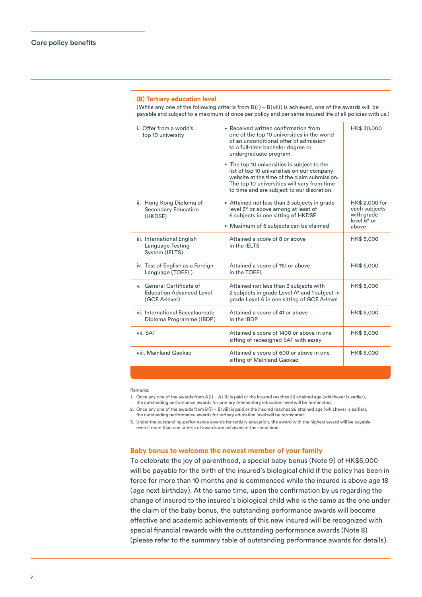#### **(B) Tertiary education level**

(While any one of the following criteria from  $B(i) - B(viii)$  is achieved, one of the awards will be payable and subject to a maximum of once per policy and per same insured life of all policies with us.)

| i. Offer from a world's<br>top 10 university                                  | • Received written confirmation from<br>one of the top 10 universities in the world<br>of an unconditional offer of admission<br>to a full-time bachelor degree or<br>undergraduate program.<br>• The top 10 universities is subject to the<br>list of top 10 universities on our company<br>website at the time of the claim submission.<br>The top 10 universities will vary from time<br>to time and are subject to our discretion. | HK\$ 30,000                                                             |
|-------------------------------------------------------------------------------|----------------------------------------------------------------------------------------------------------------------------------------------------------------------------------------------------------------------------------------------------------------------------------------------------------------------------------------------------------------------------------------------------------------------------------------|-------------------------------------------------------------------------|
| ii. Hong Kong Diploma of<br>Secondary Education<br>(HKDSE)                    | • Attained not less than 3 subjects in grade<br>level 5 <sup>*</sup> or above among at least of<br>6 subjects in one sitting of HKDSE<br>• Maximum of 6 subjects can be claimed                                                                                                                                                                                                                                                        | HK\$ 2,000 for<br>each subjects<br>with grade<br>level $5*$ or<br>above |
| iii. International English<br>Language Testing<br>System (IELTS)              | Attained a score of 8 or above<br>in the IFITS                                                                                                                                                                                                                                                                                                                                                                                         | HK\$ 5,000                                                              |
| iv. Test of English as a Foreign<br>Language (TOEFL)                          | Attained a score of 110 or above<br>in the TOEFL                                                                                                                                                                                                                                                                                                                                                                                       | HK\$ 5,000                                                              |
| v. General Certificate of<br><b>Education Advanced Level</b><br>(GCE A-level) | Attained not less than 3 subjects with<br>2 subjects in grade Level A* and 1 subject in<br>grade Level A in one sitting of GCE A-level                                                                                                                                                                                                                                                                                                 | HK\$ 5,000                                                              |
| vi. International Baccalaureate<br>Diploma Programme (IBDP)                   | Attained a score of 41 or above<br>in the IBDP                                                                                                                                                                                                                                                                                                                                                                                         | HK\$ 5,000                                                              |
| vii. SAT                                                                      | Attained a score of 1400 or above in one<br>sitting of redesigned SAT with essay                                                                                                                                                                                                                                                                                                                                                       | HK\$ 5,000                                                              |
| viii, Mainland Gaokao                                                         | Attained a score of 600 or above in one<br>sitting of Mainland Gaokao                                                                                                                                                                                                                                                                                                                                                                  | HK\$ 5,000                                                              |

#### Remarks:

1. Once any one of the awards from A(i) – A(iii) is paid or the insured reaches 26 attained age (whichever is earlier),

the outstanding performance awards for primary /elementary education level will be terminated.

2. Once any one of the awards from  $B(i) - B(viii)$  is paid or the insured reaches 26 attained age (whichever is earlier), the outstanding performance awards for tertiary education level will be terminated.

3. Under the outstanding performance awards for tertiary education, the award with the highest award will be payable even if more than one criteria of awards are achieved at the same time.

#### **Baby bonus to welcome the newest member of your family**

To celebrate the joy of parenthood, a special baby bonus (Note 9) of HK\$5,000 will be payable for the birth of the insured's biological child if the policy has been in force for more than 10 months and is commenced while the insured is above age 18 (age next birthday). At the same time, upon the confirmation by us regarding the change of insured to the insured's biological child who is the same as the one under the claim of the baby bonus, the outstanding performance awards will become effective and academic achievements of this new insured will be recognized with special financial rewards with the outstanding performance awards (Note 8) (please refer to the summary table of outstanding performance awards for details).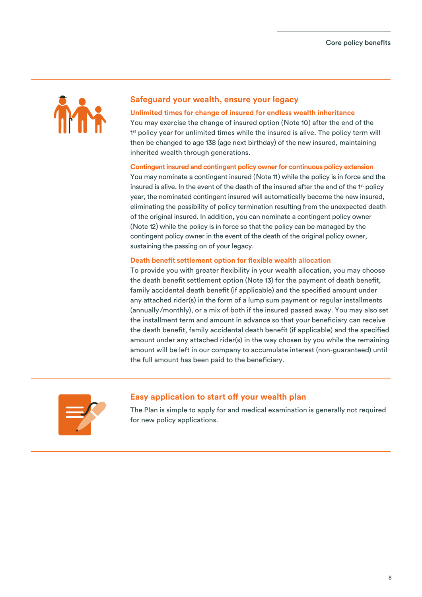

## **Safeguard your wealth, ensure your legacy**

#### **Unlimited times for change of insured for endless wealth inheritance**

You may exercise the change of insured option (Note 10) after the end of the 1<sup>st</sup> policy year for unlimited times while the insured is alive. The policy term will then be changed to age 138 (age next birthday) of the new insured, maintaining inherited wealth through generations.

#### **Contingent insured and contingent policy owner for continuous policy extension**

You may nominate a contingent insured (Note 11) while the policy is in force and the insured is alive. In the event of the death of the insured after the end of the 1<sup>st</sup> policy year, the nominated contingent insured will automatically become the new insured, eliminating the possibility of policy termination resulting from the unexpected death of the original insured. In addition, you can nominate a contingent policy owner (Note 12) while the policy is in force so that the policy can be managed by the contingent policy owner in the event of the death of the original policy owner, sustaining the passing on of your legacy.

#### **Death benefit settlement option for flexible wealth allocation**

To provide you with greater flexibility in your wealth allocation, you may choose the death benefit settlement option (Note 13) for the payment of death benefit, family accidental death benefit (if applicable) and the specified amount under any attached rider(s) in the form of a lump sum payment or regular installments (annually/monthly), or a mix of both if the insured passed away. You may also set the installment term and amount in advance so that your beneficiary can receive the death benefit, family accidental death benefit (if applicable) and the specified amount under any attached rider(s) in the way chosen by you while the remaining amount will be left in our company to accumulate interest (non-guaranteed) until the full amount has been paid to the beneficiary.



## **Easy application to start off your wealth plan**

The Plan is simple to apply for and medical examination is generally not required for new policy applications.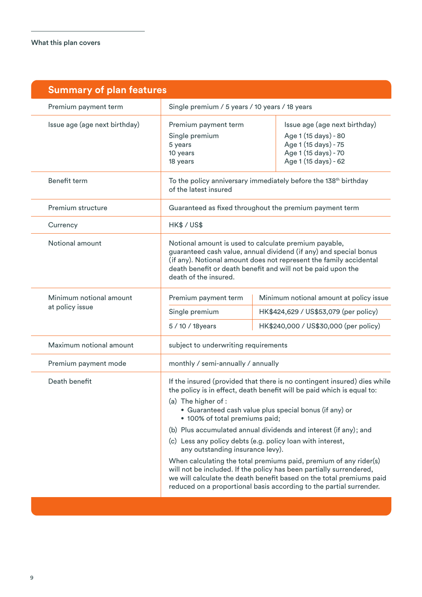| <b>Summary of plan features</b> |                                                                                                                                                                                                                                                                                                                                                                                                                                                                                                                                                                                                                                                                                                                                        |                                       |                                                                                                                               |
|---------------------------------|----------------------------------------------------------------------------------------------------------------------------------------------------------------------------------------------------------------------------------------------------------------------------------------------------------------------------------------------------------------------------------------------------------------------------------------------------------------------------------------------------------------------------------------------------------------------------------------------------------------------------------------------------------------------------------------------------------------------------------------|---------------------------------------|-------------------------------------------------------------------------------------------------------------------------------|
| Premium payment term            | Single premium / 5 years / 10 years / 18 years                                                                                                                                                                                                                                                                                                                                                                                                                                                                                                                                                                                                                                                                                         |                                       |                                                                                                                               |
| Issue age (age next birthday)   | Premium payment term<br>Single premium<br>5 years<br>10 years<br>18 years                                                                                                                                                                                                                                                                                                                                                                                                                                                                                                                                                                                                                                                              |                                       | Issue age (age next birthday)<br>Age 1 (15 days) - 80<br>Age 1 (15 days) - 75<br>Age 1 (15 days) - 70<br>Age 1 (15 days) - 62 |
| <b>Benefit term</b>             | To the policy anniversary immediately before the 138 <sup>th</sup> birthday<br>of the latest insured                                                                                                                                                                                                                                                                                                                                                                                                                                                                                                                                                                                                                                   |                                       |                                                                                                                               |
| Premium structure               | Guaranteed as fixed throughout the premium payment term                                                                                                                                                                                                                                                                                                                                                                                                                                                                                                                                                                                                                                                                                |                                       |                                                                                                                               |
| Currency                        | HK\$/US\$                                                                                                                                                                                                                                                                                                                                                                                                                                                                                                                                                                                                                                                                                                                              |                                       |                                                                                                                               |
| Notional amount                 | Notional amount is used to calculate premium payable,<br>guaranteed cash value, annual dividend (if any) and special bonus<br>(if any). Notional amount does not represent the family accidental<br>death benefit or death benefit and will not be paid upon the<br>death of the insured.                                                                                                                                                                                                                                                                                                                                                                                                                                              |                                       |                                                                                                                               |
| Minimum notional amount         | Premium payment term                                                                                                                                                                                                                                                                                                                                                                                                                                                                                                                                                                                                                                                                                                                   |                                       | Minimum notional amount at policy issue                                                                                       |
| at policy issue                 | Single premium                                                                                                                                                                                                                                                                                                                                                                                                                                                                                                                                                                                                                                                                                                                         | HK\$424,629 / US\$53,079 (per policy) |                                                                                                                               |
|                                 | 5 / 10 / 18 years                                                                                                                                                                                                                                                                                                                                                                                                                                                                                                                                                                                                                                                                                                                      |                                       | HK\$240,000 / US\$30,000 (per policy)                                                                                         |
| Maximum notional amount         | subject to underwriting requirements                                                                                                                                                                                                                                                                                                                                                                                                                                                                                                                                                                                                                                                                                                   |                                       |                                                                                                                               |
| Premium payment mode            | monthly / semi-annually / annually                                                                                                                                                                                                                                                                                                                                                                                                                                                                                                                                                                                                                                                                                                     |                                       |                                                                                                                               |
| Death benefit                   | If the insured (provided that there is no contingent insured) dies while<br>the policy is in effect, death benefit will be paid which is equal to:<br>(a) The higher of :<br>• Guaranteed cash value plus special bonus (if any) or<br>• 100% of total premiums paid;<br>(b) Plus accumulated annual dividends and interest (if any); and<br>(c) Less any policy debts (e.g. policy loan with interest,<br>any outstanding insurance levy).<br>When calculating the total premiums paid, premium of any rider(s)<br>will not be included. If the policy has been partially surrendered,<br>we will calculate the death benefit based on the total premiums paid<br>reduced on a proportional basis according to the partial surrender. |                                       |                                                                                                                               |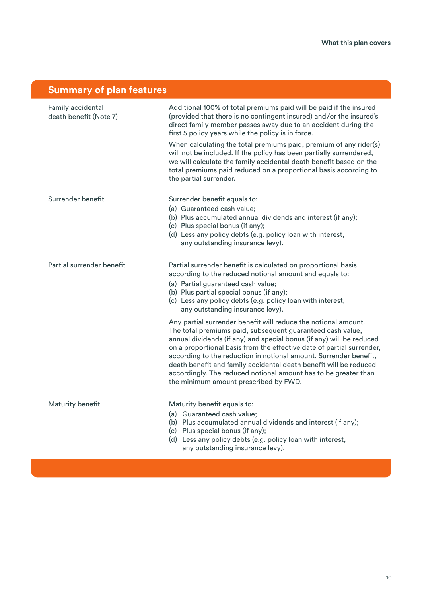| <b>Summary of plan features</b>             |                                                                                                                                                                                                                                                                                                                                                                                                                                                                                                                                                                                   |
|---------------------------------------------|-----------------------------------------------------------------------------------------------------------------------------------------------------------------------------------------------------------------------------------------------------------------------------------------------------------------------------------------------------------------------------------------------------------------------------------------------------------------------------------------------------------------------------------------------------------------------------------|
| Family accidental<br>death benefit (Note 7) | Additional 100% of total premiums paid will be paid if the insured<br>(provided that there is no contingent insured) and/or the insured's<br>direct family member passes away due to an accident during the<br>first 5 policy years while the policy is in force.<br>When calculating the total premiums paid, premium of any rider(s)<br>will not be included. If the policy has been partially surrendered,<br>we will calculate the family accidental death benefit based on the<br>total premiums paid reduced on a proportional basis according to<br>the partial surrender. |
| Surrender benefit                           | Surrender benefit equals to:<br>(a) Guaranteed cash value;<br>(b) Plus accumulated annual dividends and interest (if any);<br>(c) Plus special bonus (if any);<br>(d) Less any policy debts (e.g. policy loan with interest,<br>any outstanding insurance levy).                                                                                                                                                                                                                                                                                                                  |
| Partial surrender benefit                   | Partial surrender benefit is calculated on proportional basis<br>according to the reduced notional amount and equals to:<br>(a) Partial guaranteed cash value;<br>(b) Plus partial special bonus (if any);<br>(c) Less any policy debts (e.g. policy loan with interest,<br>any outstanding insurance levy).                                                                                                                                                                                                                                                                      |
|                                             | Any partial surrender benefit will reduce the notional amount.<br>The total premiums paid, subsequent guaranteed cash value,<br>annual dividends (if any) and special bonus (if any) will be reduced<br>on a proportional basis from the effective date of partial surrender,<br>according to the reduction in notional amount. Surrender benefit,<br>death benefit and family accidental death benefit will be reduced<br>accordingly. The reduced notional amount has to be greater than<br>the minimum amount prescribed by FWD.                                               |
| Maturity benefit                            | Maturity benefit equals to:<br>(a) Guaranteed cash value;<br>(b) Plus accumulated annual dividends and interest (if any);<br>(c) Plus special bonus (if any);<br>(d) Less any policy debts (e.g. policy loan with interest,<br>any outstanding insurance levy).                                                                                                                                                                                                                                                                                                                   |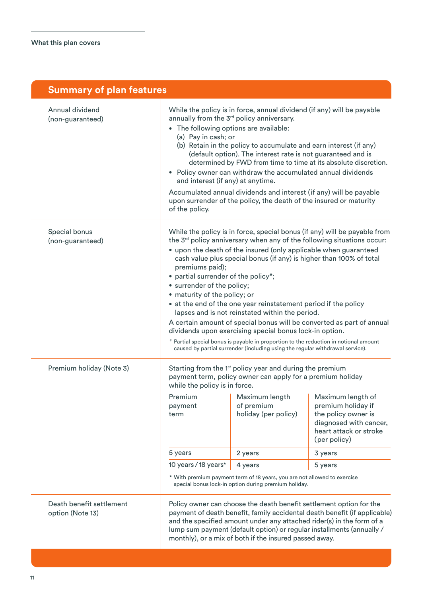| <b>Summary of plan features</b>              |                                                                                                                                                                                                                                                                                                                                                                                                                                                                                                                                                                                                                                                                                                                                                                                                                                                                       |                                                                                                                                                                                                                                                                                                                                                                                |                                                                                                                                                                                                                                                                                                    |
|----------------------------------------------|-----------------------------------------------------------------------------------------------------------------------------------------------------------------------------------------------------------------------------------------------------------------------------------------------------------------------------------------------------------------------------------------------------------------------------------------------------------------------------------------------------------------------------------------------------------------------------------------------------------------------------------------------------------------------------------------------------------------------------------------------------------------------------------------------------------------------------------------------------------------------|--------------------------------------------------------------------------------------------------------------------------------------------------------------------------------------------------------------------------------------------------------------------------------------------------------------------------------------------------------------------------------|----------------------------------------------------------------------------------------------------------------------------------------------------------------------------------------------------------------------------------------------------------------------------------------------------|
| Annual dividend<br>(non-guaranteed)          | While the policy is in force, annual dividend (if any) will be payable<br>annually from the 3 <sup>rd</sup> policy anniversary.<br>The following options are available:<br>(a) Pay in cash; or<br>(b) Retain in the policy to accumulate and earn interest (if any)<br>(default option). The interest rate is not guaranteed and is<br>determined by FWD from time to time at its absolute discretion.<br>• Policy owner can withdraw the accumulated annual dividends<br>and interest (if any) at anytime.<br>Accumulated annual dividends and interest (if any) will be payable<br>upon surrender of the policy, the death of the insured or maturity<br>of the policy.                                                                                                                                                                                             |                                                                                                                                                                                                                                                                                                                                                                                |                                                                                                                                                                                                                                                                                                    |
| Special bonus<br>(non-guaranteed)            | While the policy is in force, special bonus (if any) will be payable from<br>the 3 <sup>rd</sup> policy anniversary when any of the following situations occur:<br>• upon the death of the insured (only applicable when guaranteed<br>cash value plus special bonus (if any) is higher than 100% of total<br>premiums paid);<br>• partial surrender of the policy#;<br>• surrender of the policy;<br>• maturity of the policy; or<br>• at the end of the one year reinstatement period if the policy<br>lapses and is not reinstated within the period.<br>A certain amount of special bonus will be converted as part of annual<br>dividends upon exercising special bonus lock-in option.<br># Partial special bonus is payable in proportion to the reduction in notional amount<br>caused by partial surrender (including using the regular withdrawal service). |                                                                                                                                                                                                                                                                                                                                                                                |                                                                                                                                                                                                                                                                                                    |
| Premium holiday (Note 3)                     | while the policy is in force.<br>payment<br>term<br>5 years<br>10 years / 18 years*                                                                                                                                                                                                                                                                                                                                                                                                                                                                                                                                                                                                                                                                                                                                                                                   | Starting from the 1 <sup>st</sup> policy year and during the premium<br>payment term, policy owner can apply for a premium holiday<br>Premium Maximum length Maximum length of<br>of premium<br>holiday (per policy)<br>2 years<br>4 years<br>* With premium payment term of 18 years, you are not allowed to exercise<br>special bonus lock-in option during premium holiday. | premium holiday if<br>the policy owner is<br>diagnosed with cancer,<br>heart attack or stroke<br>(per policy)<br>3 years<br>5 years                                                                                                                                                                |
| Death benefit settlement<br>option (Note 13) |                                                                                                                                                                                                                                                                                                                                                                                                                                                                                                                                                                                                                                                                                                                                                                                                                                                                       | monthly), or a mix of both if the insured passed away.                                                                                                                                                                                                                                                                                                                         | Policy owner can choose the death benefit settlement option for the<br>payment of death benefit, family accidental death benefit (if applicable)<br>and the specified amount under any attached rider(s) in the form of a<br>lump sum payment (default option) or regular installments (annually / |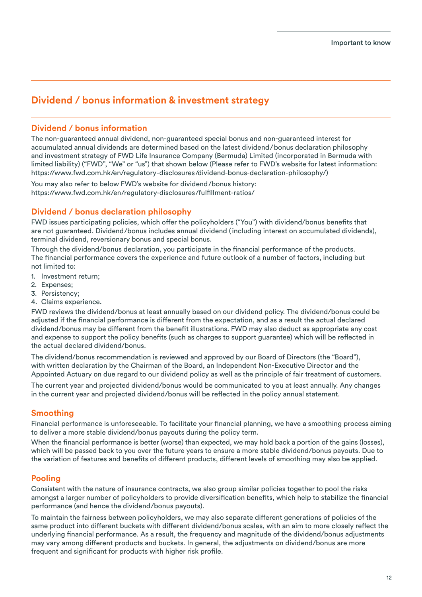## **Dividend / bonus information & investment strategy**

## **Dividend / bonus information**

The non-guaranteed annual dividend, non-guaranteed special bonus and non-guaranteed interest for accumulated annual dividends are determined based on the latest dividend/bonus declaration philosophy and investment strategy of FWD Life Insurance Company (Bermuda) Limited (incorporated in Bermuda with limited liability) ("FWD", "We" or "us") that shown below (Please refer to FWD's website for latest information: https://www.fwd.com.hk/en/regulatory-disclosures/dividend-bonus-declaration-philosophy/)

You may also refer to below FWD's website for dividend/bonus history: https://www.fwd.com.hk/en/regulatory-disclosures/fulfillment-ratios/

## **Dividend / bonus declaration philosophy**

FWD issues participating policies, which offer the policyholders ("You") with dividend/bonus benefits that are not guaranteed. Dividend/bonus includes annual dividend (including interest on accumulated dividends), terminal dividend, reversionary bonus and special bonus.

Through the dividend/bonus declaration, you participate in the financial performance of the products. The financial performance covers the experience and future outlook of a number of factors, including but not limited to:

- 1. Investment return;
- 2. Expenses;
- 3. Persistency;
- 4. Claims experience.

FWD reviews the dividend/bonus at least annually based on our dividend policy. The dividend/bonus could be adjusted if the financial performance is different from the expectation, and as a result the actual declared dividend/bonus may be different from the benefit illustrations. FWD may also deduct as appropriate any cost and expense to support the policy benefits (such as charges to support guarantee) which will be reflected in the actual declared dividend/bonus.

The dividend/bonus recommendation is reviewed and approved by our Board of Directors (the "Board"), with written declaration by the Chairman of the Board, an Independent Non-Executive Director and the Appointed Actuary on due regard to our dividend policy as well as the principle of fair treatment of customers.

The current year and projected dividend/bonus would be communicated to you at least annually. Any changes in the current year and projected dividend/bonus will be reflected in the policy annual statement.

## **Smoothing**

Financial performance is unforeseeable. To facilitate your financial planning, we have a smoothing process aiming to deliver a more stable dividend/bonus payouts during the policy term.

When the financial performance is better (worse) than expected, we may hold back a portion of the gains (losses), which will be passed back to you over the future years to ensure a more stable dividend/bonus payouts. Due to the variation of features and benefits of different products, different levels of smoothing may also be applied.

## **Pooling**

Consistent with the nature of insurance contracts, we also group similar policies together to pool the risks amongst a larger number of policyholders to provide diversification benefits, which help to stabilize the financial performance (and hence the dividend/bonus payouts).

To maintain the fairness between policyholders, we may also separate different generations of policies of the same product into different buckets with different dividend/bonus scales, with an aim to more closely reflect the underlying financial performance. As a result, the frequency and magnitude of the dividend/bonus adjustments may vary among different products and buckets. In general, the adjustments on dividend/bonus are more frequent and significant for products with higher risk profile.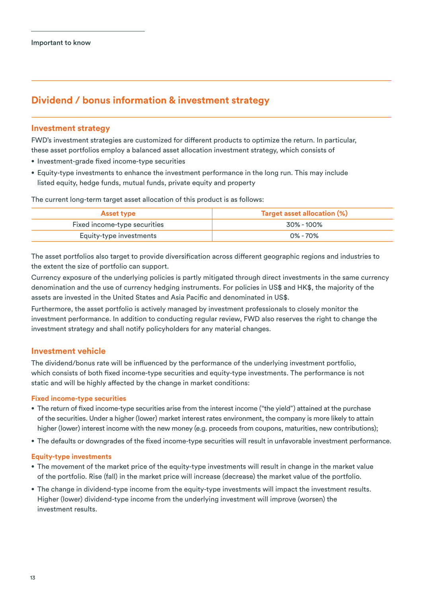## **Dividend / bonus information & investment strategy**

#### **Investment strategy**

FWD's investment strategies are customized for different products to optimize the return. In particular, these asset portfolios employ a balanced asset allocation investment strategy, which consists of

- Investment-grade fixed income-type securities
- Equity-type investments to enhance the investment performance in the long run. This may include listed equity, hedge funds, mutual funds, private equity and property

The current long-term target asset allocation of this product is as follows:

| <b>Asset type</b>            | <b>Target asset allocation (%)</b> |
|------------------------------|------------------------------------|
| Fixed income-type securities | 30% - 100%                         |
| Equity-type investments      | 0% - 70%                           |

The asset portfolios also target to provide diversification across different geographic regions and industries to the extent the size of portfolio can support.

Currency exposure of the underlying policies is partly mitigated through direct investments in the same currency denomination and the use of currency hedging instruments. For policies in US\$ and HK\$, the majority of the assets are invested in the United States and Asia Pacific and denominated in US\$.

Furthermore, the asset portfolio is actively managed by investment professionals to closely monitor the investment performance. In addition to conducting regular review, FWD also reserves the right to change the investment strategy and shall notify policyholders for any material changes.

## **Investment vehicle**

The dividend/bonus rate will be influenced by the performance of the underlying investment portfolio, which consists of both fixed income-type securities and equity-type investments. The performance is not static and will be highly affected by the change in market conditions:

#### **Fixed income-type securities**

- The return of fixed income-type securities arise from the interest income ("the yield") attained at the purchase of the securities. Under a higher (lower) market interest rates environment, the company is more likely to attain higher (lower) interest income with the new money (e.g. proceeds from coupons, maturities, new contributions);
- The defaults or downgrades of the fixed income-type securities will result in unfavorable investment performance.

#### **Equity-type investments**

- The movement of the market price of the equity-type investments will result in change in the market value of the portfolio. Rise (fall) in the market price will increase (decrease) the market value of the portfolio.
- The change in dividend-type income from the equity-type investments will impact the investment results. Higher (lower) dividend-type income from the underlying investment will improve (worsen) the investment results.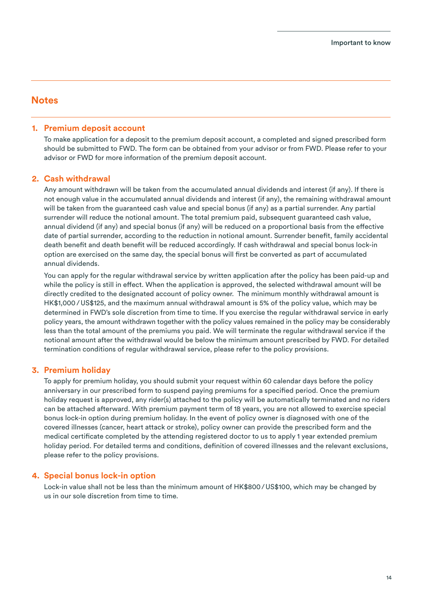#### **1. Premium deposit account**

To make application for a deposit to the premium deposit account, a completed and signed prescribed form should be submitted to FWD. The form can be obtained from your advisor or from FWD. Please refer to your advisor or FWD for more information of the premium deposit account.

#### **2. Cash withdrawal**

Any amount withdrawn will be taken from the accumulated annual dividends and interest (if any). If there is not enough value in the accumulated annual dividends and interest (if any), the remaining withdrawal amount will be taken from the guaranteed cash value and special bonus (if any) as a partial surrender. Any partial surrender will reduce the notional amount. The total premium paid, subsequent guaranteed cash value, annual dividend (if any) and special bonus (if any) will be reduced on a proportional basis from the effective date of partial surrender, according to the reduction in notional amount. Surrender benefit, family accidental death benefit and death benefit will be reduced accordingly. If cash withdrawal and special bonus lock-in option are exercised on the same day, the special bonus will first be converted as part of accumulated annual dividends.

 You can apply for the regular withdrawal service by written application after the policy has been paid-up and while the policy is still in effect. When the application is approved, the selected withdrawal amount will be directly credited to the designated account of policy owner. The minimum monthly withdrawal amount is HK\$1,000/ US\$125, and the maximum annual withdrawal amount is 5% of the policy value, which may be determined in FWD's sole discretion from time to time. If you exercise the regular withdrawal service in early policy years, the amount withdrawn together with the policy values remained in the policy may be considerably less than the total amount of the premiums you paid. We will terminate the regular withdrawal service if the notional amount after the withdrawal would be below the minimum amount prescribed by FWD. For detailed termination conditions of regular withdrawal service, please refer to the policy provisions.

#### **3. Premium holiday**

To apply for premium holiday, you should submit your request within 60 calendar days before the policy anniversary in our prescribed form to suspend paying premiums for a specified period. Once the premium holiday request is approved, any rider(s) attached to the policy will be automatically terminated and no riders can be attached afterward. With premium payment term of 18 years, you are not allowed to exercise special bonus lock-in option during premium holiday. In the event of policy owner is diagnosed with one of the covered illnesses (cancer, heart attack or stroke), policy owner can provide the prescribed form and the medical certificate completed by the attending registered doctor to us to apply 1 year extended premium holiday period. For detailed terms and conditions, definition of covered illnesses and the relevant exclusions, please refer to the policy provisions.

#### **4. Special bonus lock-in option**

 Lock-in value shall not be less than the minimum amount of HK\$800/ US\$100, which may be changed by us in our sole discretion from time to time.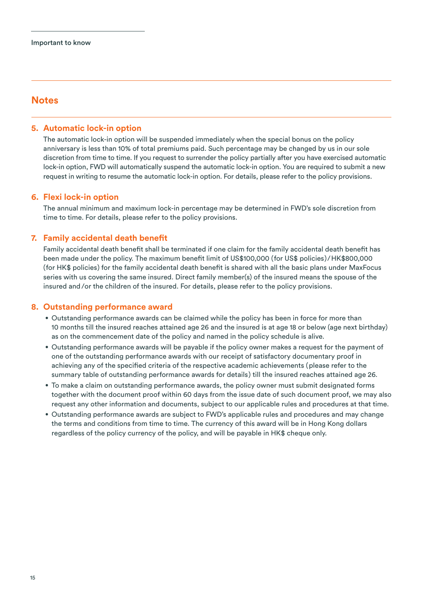#### **5. Automatic lock-in option**

 The automatic lock-in option will be suspended immediately when the special bonus on the policy anniversary is less than 10% of total premiums paid. Such percentage may be changed by us in our sole discretion from time to time. If you request to surrender the policy partially after you have exercised automatic lock-in option, FWD will automatically suspend the automatic lock-in option. You are required to submit a new request in writing to resume the automatic lock-in option. For details, please refer to the policy provisions.

#### **6. Flexi lock-in option**

 The annual minimum and maximum lock-in percentage may be determined in FWD's sole discretion from time to time. For details, please refer to the policy provisions.

#### **7. Family accidental death benefit**

Family accidental death benefit shall be terminated if one claim for the family accidental death benefit has been made under the policy. The maximum benefit limit of US\$100,000 (for US\$ policies)/HK\$800,000 (for HK\$ policies) for the family accidental death benefit is shared with all the basic plans under MaxFocus series with us covering the same insured. Direct family member(s) of the insured means the spouse of the insured and/or the children of the insured. For details, please refer to the policy provisions.

#### **8. Outstanding performance award**

- Outstanding performance awards can be claimed while the policy has been in force for more than 10 months till the insured reaches attained age 26 and the insured is at age 18 or below (age next birthday) as on the commencement date of the policy and named in the policy schedule is alive.
- Outstanding performance awards will be payable if the policy owner makes a request for the payment of one of the outstanding performance awards with our receipt of satisfactory documentary proof in achieving any of the specified criteria of the respective academic achievements (please refer to the summary table of outstanding performance awards for details) till the insured reaches attained age 26.
- To make a claim on outstanding performance awards, the policy owner must submit designated forms together with the document proof within 60 days from the issue date of such document proof, we may also request any other information and documents, subject to our applicable rules and procedures at that time.
- Outstanding performance awards are subject to FWD's applicable rules and procedures and may change the terms and conditions from time to time. The currency of this award will be in Hong Kong dollars regardless of the policy currency of the policy, and will be payable in HK\$ cheque only.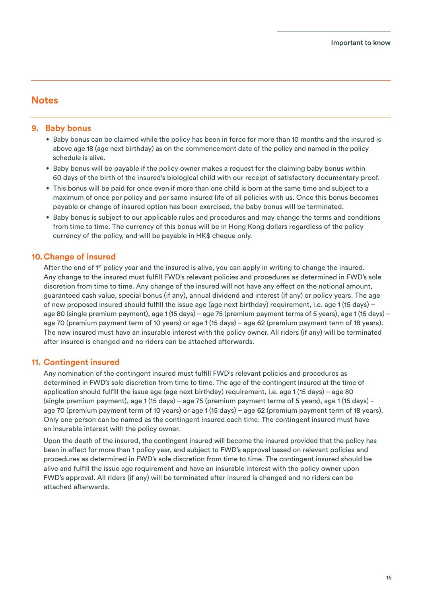#### **9. Baby bonus**

- Baby bonus can be claimed while the policy has been in force for more than 10 months and the insured is above age 18 (age next birthday) as on the commencement date of the policy and named in the policy schedule is alive.
- Baby bonus will be payable if the policy owner makes a request for the claiming baby bonus within 60 days of the birth of the insured's biological child with our receipt of satisfactory documentary proof.
- This bonus will be paid for once even if more than one child is born at the same time and subject to a maximum of once per policy and per same insured life of all policies with us. Once this bonus becomes payable or change of insured option has been exercised, the baby bonus will be terminated.
- Baby bonus is subject to our applicable rules and procedures and may change the terms and conditions from time to time. The currency of this bonus will be in Hong Kong dollars regardless of the policy currency of the policy, and will be payable in HK\$ cheque only.

## **10. Change of insured**

After the end of 1<sup>st</sup> policy year and the insured is alive, you can apply in writing to change the insured. Any change to the insured must fulll FWD's relevant policies and procedures as determined in FWD's sole discretion from time to time. Any change of the insured will not have any effect on the notional amount, guaranteed cash value, special bonus (if any), annual dividend and interest (if any) or policy years. The age of new proposed insured should fulfill the issue age (age next birthday) requirement, i.e. age 1 (15 days) – age 80 (single premium payment), age 1 (15 days) – age 75 (premium payment terms of 5 years), age 1 (15 days) – age 70 (premium payment term of 10 years) or age 1 (15 days) – age 62 (premium payment term of 18 years). The new insured must have an insurable interest with the policy owner. All riders (if any) will be terminated after insured is changed and no riders can be attached afterwards.

## **11. Contingent insured**

Any nomination of the contingent insured must fulfill FWD's relevant policies and procedures as determined in FWD's sole discretion from time to time. The age of the contingent insured at the time of application should fulll the issue age (age next birthday) requirement, i.e. age 1 (15 days) – age 80 (single premium payment), age 1 (15 days) – age 75 (premium payment terms of 5 years), age 1 (15 days) – age 70 (premium payment term of 10 years) or age 1 (15 days) – age 62 (premium payment term of 18 years). Only one person can be named as the contingent insured each time. The contingent insured must have an insurable interest with the policy owner.

 Upon the death of the insured, the contingent insured will become the insured provided that the policy has been in effect for more than 1 policy year, and subject to FWD's approval based on relevant policies and procedures as determined in FWD's sole discretion from time to time. The contingent insured should be alive and fulfill the issue age requirement and have an insurable interest with the policy owner upon FWD's approval. All riders (if any) will be terminated after insured is changed and no riders can be attached afterwards.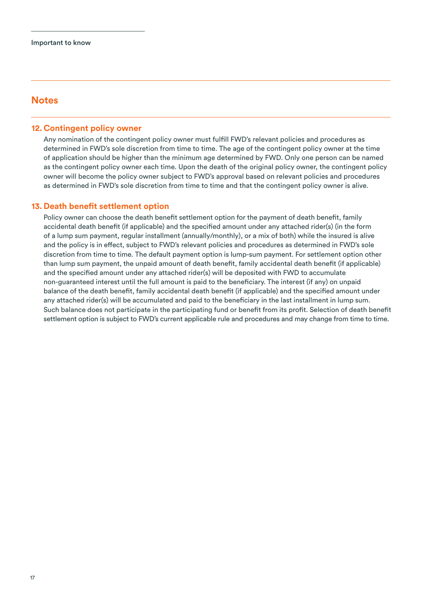#### **12. Contingent policy owner**

Any nomination of the contingent policy owner must fulfill FWD's relevant policies and procedures as determined in FWD's sole discretion from time to time. The age of the contingent policy owner at the time of application should be higher than the minimum age determined by FWD. Only one person can be named as the contingent policy owner each time. Upon the death of the original policy owner, the contingent policy owner will become the policy owner subject to FWD's approval based on relevant policies and procedures as determined in FWD's sole discretion from time to time and that the contingent policy owner is alive.

#### **13. Death benefit settlement option**

Policy owner can choose the death benefit settlement option for the payment of death benefit, family accidental death benefit (if applicable) and the specified amount under any attached rider(s) (in the form of a lump sum payment, regular installment (annually/monthly), or a mix of both) while the insured is alive and the policy is in effect, subject to FWD's relevant policies and procedures as determined in FWD's sole discretion from time to time. The default payment option is lump-sum payment. For settlement option other than lump sum payment, the unpaid amount of death benefit, family accidental death benefit (if applicable) and the specified amount under any attached rider(s) will be deposited with FWD to accumulate non-guaranteed interest until the full amount is paid to the beneficiary. The interest (if any) on unpaid balance of the death benefit, family accidental death benefit (if applicable) and the specified amount under any attached rider(s) will be accumulated and paid to the beneficiary in the last installment in lump sum. Such balance does not participate in the participating fund or benefit from its profit. Selection of death benefit settlement option is subject to FWD's current applicable rule and procedures and may change from time to time.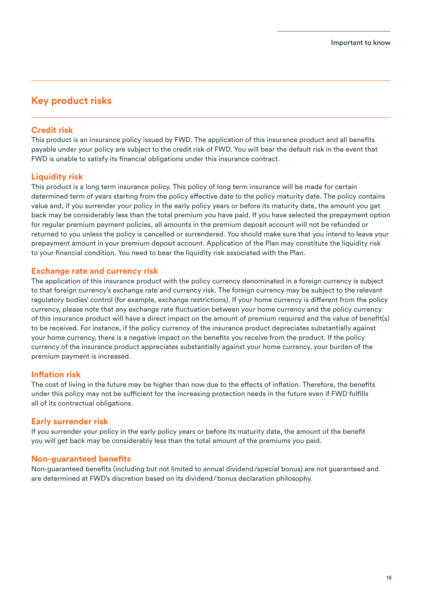## **Key product risks**

## **Credit risk**

This product is an insurance policy issued by FWD. The application of this insurance product and all benefits payable under your policy are subject to the credit risk of FWD. You will bear the default risk in the event that FWD is unable to satisfy its financial obligations under this insurance contract.

## **Liquidity risk**

This product is a long term insurance policy. This policy of long term insurance will be made for certain determined term of years starting from the policy effective date to the policy maturity date. The policy contains value and, if you surrender your policy in the early policy years or before its maturity date, the amount you get back may be considerably less than the total premium you have paid. If you have selected the prepayment option for regular premium payment policies, all amounts in the premium deposit account will not be refunded or returned to you unless the policy is cancelled or surrendered. You should make sure that you intend to leave your prepayment amount in your premium deposit account. Application of the Plan may constitute the liquidity risk to your financial condition. You need to bear the liquidity risk associated with the Plan.

#### **Exchange rate and currency risk**

The application of this insurance product with the policy currency denominated in a foreign currency is subject to that foreign currency's exchange rate and currency risk. The foreign currency may be subject to the relevant regulatory bodies' control (for example, exchange restrictions). If your home currency is different from the policy currency, please note that any exchange rate fluctuation between your home currency and the policy currency of this insurance product will have a direct impact on the amount of premium required and the value of benet(s) to be received. For instance, if the policy currency of the insurance product depreciates substantially against your home currency, there is a negative impact on the benefits you receive from the product. If the policy currency of the insurance product appreciates substantially against your home currency, your burden of the premium payment is increased.

#### **Inflation risk**

The cost of living in the future may be higher than now due to the effects of inflation. Therefore, the benefits under this policy may not be sufficient for the increasing protection needs in the future even if FWD fulfills all of its contractual obligations.

## **Early surrender risk**

If you surrender your policy in the early policy years or before its maturity date, the amount of the benefit you will get back may be considerably less than the total amount of the premiums you paid.

## **Non-guaranteed benefits**

Non-guaranteed benefits (including but not limited to annual dividend/special bonus) are not guaranteed and are determined at FWD's discretion based on its dividend/bonus declaration philosophy.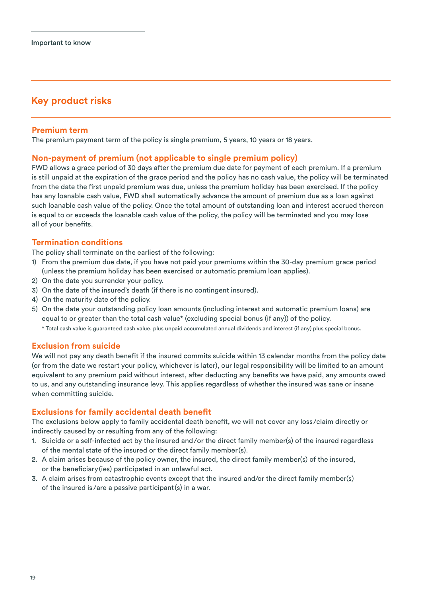## **Key product risks**

## **Premium term**

The premium payment term of the policy is single premium, 5 years, 10 years or 18 years.

## **Non-payment of premium (not applicable to single premium policy)**

FWD allows a grace period of 30 days after the premium due date for payment of each premium. If a premium is still unpaid at the expiration of the grace period and the policy has no cash value, the policy will be terminated from the date the first unpaid premium was due, unless the premium holiday has been exercised. If the policy has any loanable cash value, FWD shall automatically advance the amount of premium due as a loan against such loanable cash value of the policy. Once the total amount of outstanding loan and interest accrued thereon is equal to or exceeds the loanable cash value of the policy, the policy will be terminated and you may lose all of your benefits.

## **Termination conditions**

The policy shall terminate on the earliest of the following:

- 1) From the premium due date, if you have not paid your premiums within the 30-day premium grace period (unless the premium holiday has been exercised or automatic premium loan applies).
- 2) On the date you surrender your policy.
- 3) On the date of the insured's death (if there is no contingent insured).
- 4) On the maturity date of the policy.
- 5) On the date your outstanding policy loan amounts (including interest and automatic premium loans) are equal to or greater than the total cash value\* (excluding special bonus (if any)) of the policy.
	- \* Total cash value is guaranteed cash value, plus unpaid accumulated annual dividends and interest (if any) plus special bonus.

## **Exclusion from suicide**

We will not pay any death benefit if the insured commits suicide within 13 calendar months from the policy date (or from the date we restart your policy, whichever is later), our legal responsibility will be limited to an amount equivalent to any premium paid without interest, after deducting any benefits we have paid, any amounts owed to us, and any outstanding insurance levy. This applies regardless of whether the insured was sane or insane when committing suicide.

## **Exclusions for family accidental death benefit**

The exclusions below apply to family accidental death benefit, we will not cover any loss/claim directly or indirectly caused by or resulting from any of the following:

- 1. Suicide or a self-infected act by the insured and/or the direct family member(s) of the insured regardless of the mental state of the insured or the direct family member(s).
- 2. A claim arises because of the policy owner, the insured, the direct family member(s) of the insured, or the beneficiary (ies) participated in an unlawful act.
- 3. A claim arises from catastrophic events except that the insured and/or the direct family member(s) of the insured is /are a passive participant(s) in a war.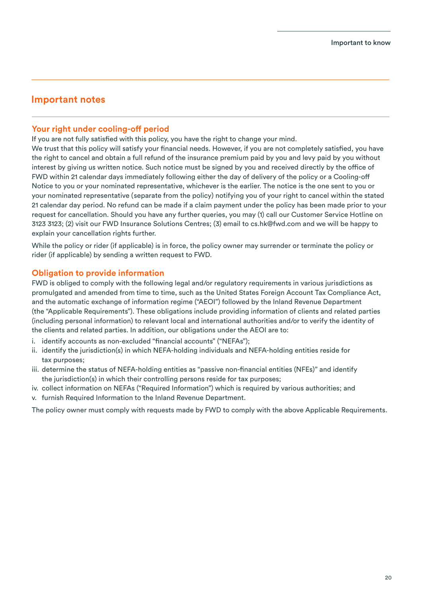## **Important notes**

## **Your right under cooling-off period**

If you are not fully satisfied with this policy, you have the right to change your mind. We trust that this policy will satisfy your financial needs. However, if you are not completely satisfied, you have the right to cancel and obtain a full refund of the insurance premium paid by you and levy paid by you without interest by giving us written notice. Such notice must be signed by you and received directly by the office of FWD within 21 calendar days immediately following either the day of delivery of the policy or a Cooling-o Notice to you or your nominated representative, whichever is the earlier. The notice is the one sent to you or your nominated representative (separate from the policy) notifying you of your right to cancel within the stated 21 calendar day period. No refund can be made if a claim payment under the policy has been made prior to your request for cancellation. Should you have any further queries, you may (1) call our Customer Service Hotline on 3123 3123; (2) visit our FWD Insurance Solutions Centres; (3) email to cs.hk@fwd.com and we will be happy to explain your cancellation rights further.

While the policy or rider (if applicable) is in force, the policy owner may surrender or terminate the policy or rider (if applicable) by sending a written request to FWD.

## **Obligation to provide information**

FWD is obliged to comply with the following legal and/or regulatory requirements in various jurisdictions as promulgated and amended from time to time, such as the United States Foreign Account Tax Compliance Act, and the automatic exchange of information regime ("AEOI") followed by the Inland Revenue Department (the "Applicable Requirements"). These obligations include providing information of clients and related parties (including personal information) to relevant local and international authorities and/or to verify the identity of the clients and related parties. In addition, our obligations under the AEOI are to:

- i. identify accounts as non-excluded "financial accounts" ("NEFAs");
- ii. identify the jurisdiction(s) in which NEFA-holding individuals and NEFA-holding entities reside for tax purposes;
- iii. determine the status of NEFA-holding entities as "passive non-financial entities (NFEs)" and identify the jurisdiction(s) in which their controlling persons reside for tax purposes;
- iv. collect information on NEFAs ("Required Information") which is required by various authorities; and
- v. furnish Required Information to the Inland Revenue Department.

The policy owner must comply with requests made by FWD to comply with the above Applicable Requirements.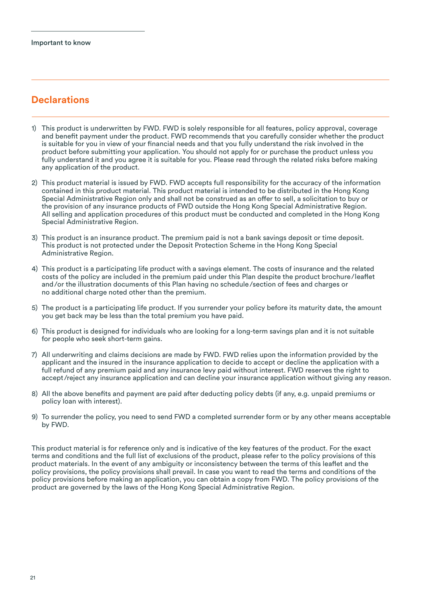## **Declarations**

- 1) This product is underwritten by FWD. FWD is solely responsible for all features, policy approval, coverage and benefit payment under the product. FWD recommends that you carefully consider whether the product is suitable for you in view of your financial needs and that you fully understand the risk involved in the product before submitting your application. You should not apply for or purchase the product unless you fully understand it and you agree it is suitable for you. Please read through the related risks before making any application of the product.
- 2) This product material is issued by FWD. FWD accepts full responsibility for the accuracy of the information contained in this product material. This product material is intended to be distributed in the Hong Kong Special Administrative Region only and shall not be construed as an offer to sell, a solicitation to buy or the provision of any insurance products of FWD outside the Hong Kong Special Administrative Region. All selling and application procedures of this product must be conducted and completed in the Hong Kong Special Administrative Region.
- 3) This product is an insurance product. The premium paid is not a bank savings deposit or time deposit. This product is not protected under the Deposit Protection Scheme in the Hong Kong Special Administrative Region.
- 4) This product is a participating life product with a savings element. The costs of insurance and the related costs of the policy are included in the premium paid under this Plan despite the product brochure/leaflet and/or the illustration documents of this Plan having no schedule/section of fees and charges or no additional charge noted other than the premium.
- 5) The product is a participating life product. If you surrender your policy before its maturity date, the amount you get back may be less than the total premium you have paid.
- 6) This product is designed for individuals who are looking for a long-term savings plan and it is not suitable for people who seek short-term gains.
- 7) All underwriting and claims decisions are made by FWD. FWD relies upon the information provided by the applicant and the insured in the insurance application to decide to accept or decline the application with a full refund of any premium paid and any insurance levy paid without interest. FWD reserves the right to accept /reject any insurance application and can decline your insurance application without giving any reason.
- 8) All the above benefits and payment are paid after deducting policy debts (if any, e.g. unpaid premiums or policy loan with interest).
- 9) To surrender the policy, you need to send FWD a completed surrender form or by any other means acceptable by FWD.

This product material is for reference only and is indicative of the key features of the product. For the exact terms and conditions and the full list of exclusions of the product, please refer to the policy provisions of this product materials. In the event of any ambiguity or inconsistency between the terms of this leaflet and the policy provisions, the policy provisions shall prevail. In case you want to read the terms and conditions of the policy provisions before making an application, you can obtain a copy from FWD. The policy provisions of the product are governed by the laws of the Hong Kong Special Administrative Region.